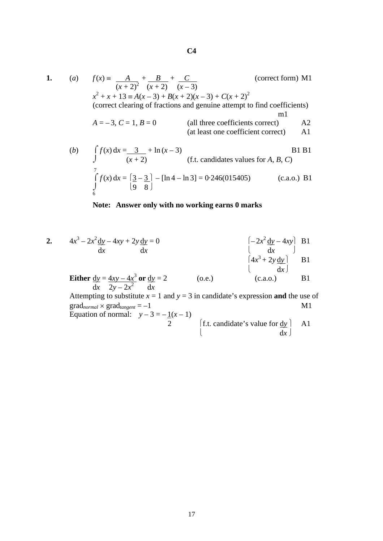**1.** (*a*)  $f(x) = A_1 + B_2 + C_3$  (correct form) M1  $\overline{(x+2)^2}$   $\overline{(x+2)}$   $\overline{(x-3)}$  *x*  $2^{2} + x + 13 \equiv A(x - 3) + B(x + 2)(x - 3) + C(x + 2)^{2}$ (correct clearing of fractions and genuine attempt to find coefficients) m<sup>1</sup>  $A = -3$ ,  $C = 1$ ,  $B = 0$  (all three coefficients correct) A2 (at least one coefficient correct) A1 (*b*)  $\int f(x) dx = 3 + \ln(x - 3)$  B1 B1  $J$  (*x* + 2) (f.t. candidates values for *A*, *B*, *C*) 7  $\int f(x) dx = \left| \frac{3 - 3}{2} \right| - \left[ \ln 4 - \ln 3 \right] = 0.246(015405)$  (c.a.o.) B1  $\begin{bmatrix} 9 & 8 \end{bmatrix}$ 

## **Note: Answer only with no working earns 0 marks**

2. 
$$
4x^{3}-2x^{2} \frac{dy}{dx}-4xy+2y \frac{dy}{dx}=0
$$
  
\n
$$
\begin{array}{ccc}\n&-2x^{2} \frac{dy}{dx}-4xy\\
&dx\\
&dx\n\end{array}
$$
 B1  
\n**Either**  $\frac{dy}{dx} = \frac{4xy - 4x^{3}}{2y - 2x^{2}}$  or  $\frac{dy}{dx} = 2$   
\n
$$
\begin{array}{ccc}\n&(0.e.)\\
&(0.e.)\\
&(c.a.o.)\\
&B1\n\end{array}
$$

 $\text{grad}_{normal} \times \text{grad}_{tangent} = -1$  M1 Equation of normal:  $y-3=-1(x-1)$ 2  $\int f \cdot t \cdot \text{candidate's value for } \frac{dy}{dx}$  A1

2 [f.t. candidate's value for 
$$
\frac{dy}{dx}
$$
]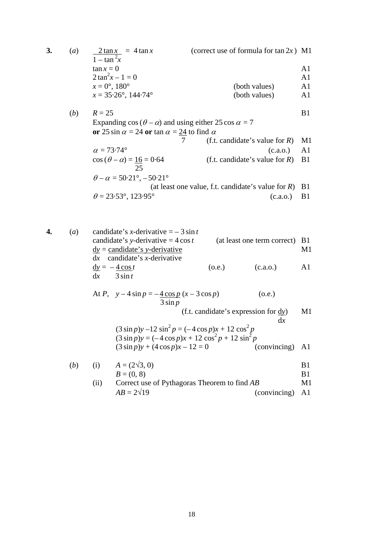**3.** (*a*)  $2 \tan x = 4 \tan x$  (correct use of formula for  $\tan 2x$ ) M1  $1 - \tan^2 x$  $\tan x = 0$  A1  $2 \tan^2 x - 1 = 0$  A1  $x = 0^\circ$ , 180° (both values) A1  $x = 35.26^{\circ}, 144.74^{\circ}$  (both values) A1 (*b*)  $R = 25$  B1 Expanding  $\cos(\theta - \alpha)$  and using either 25 cos  $\alpha = 7$ **or** 25 sin  $\alpha$  = 24 **or** tan  $\alpha$  = 24 to find  $\alpha$ 7 (f.t. candidate's value for *R*) M1  $\alpha = 73.74^{\circ}$  (c.a.o.) A1  $\cos(\theta - \alpha) = 16 = 0.64$  (f.t. candidate's value for *R*) B1 25  $\theta - \alpha = 50.21^{\circ}, -50.21^{\circ}$  (at least one value, f.t. candidate's value for *R*) B1  $\theta = 23.53^{\circ}, 123.95^{\circ}$  (c.a.o.) B1

**4.** (*a*) candidate's *x*-derivative  $=$  – 3 sin *t* candidate's *y*-derivative =  $4 \cos t$  (at least one term correct) B1  $dy =$  candidate's *y*-derivative M1 d*x* candidate's *x*-derivative  $dy = -4\cos t$  (o.e.) (c.a.o.) A1  $dx$   $3 \sin t$ 

At *P*, 
$$
y - 4 \sin p = -\frac{4 \cos p}{3 \sin p}
$$
 (6.e.)  
\n
$$
\frac{3 \sin p}{3 \sin p}
$$
 (f.t. candidate's expression for dy)  
\n
$$
(3 \sin p)y - 12 \sin^2 p = (-4 \cos p)x + 12 \cos^2 p
$$
  
\n
$$
(3 \sin p)y = (-4 \cos p)x + 12 \cos^2 p + 12 \sin^2 p
$$
  
\n
$$
(3 \sin p)y + (4 \cos p)x - 12 = 0
$$
 (convincing) A1  
\n(b) (i)  $A = (2\sqrt{3}, 0)$   
\n $B = (0, 8)$  B1

(ii) Correct use of Pythagoras Theorem to find *AB* M1  $AB = 2\sqrt{19}$  (convincing) A1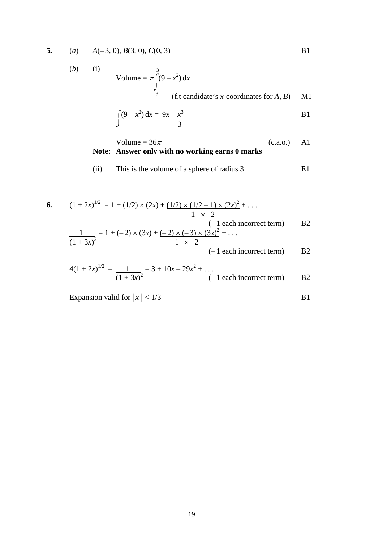**5.** (*a*)  $A(-3, 0), B(3, 0), C(0, 3)$ 

(b) (i)  
\nVolume = 
$$
\pi \int_{-3}^{3} (9 - x^2) dx
$$
  
\n(f.t candidate's x-coordinates for A, B) M1

$$
\int (9 - x^2) dx = 9x - \frac{x^3}{3}
$$
 B1

Volume = 
$$
36\pi
$$
 (c.a.o.) A1  
Note: Answer only with no working earns 0 marks

(ii) This is the volume of a sphere of radius 3 E1

6. 
$$
(1 + 2x)^{1/2} = 1 + (1/2) \times (2x) + (1/2) \times (1/2 - 1) \times (2x)^2 + \dots
$$
  
\n
$$
1 \times 2
$$
  
\n
$$
(-1 \text{ each incorrect term})
$$
 B2  
\n
$$
\frac{1}{(1 + 3x)^2} = 1 + (-2) \times (3x) + (-2) \times (-3) \times (3x)^2 + \dots
$$
  
\n
$$
1 \times 2
$$
  
\n
$$
(-1 \text{ each incorrect term})
$$
 B2

$$
4(1+2x)^{1/2} - \frac{1}{(1+3x)^2} = 3 + 10x - 29x^2 + \dots
$$
\n
$$
(-1 \text{ each incorrect term}) \qquad \text{B2}
$$

Expansion valid for  $|x| < 1/3$  B1

$$
\overline{B1}
$$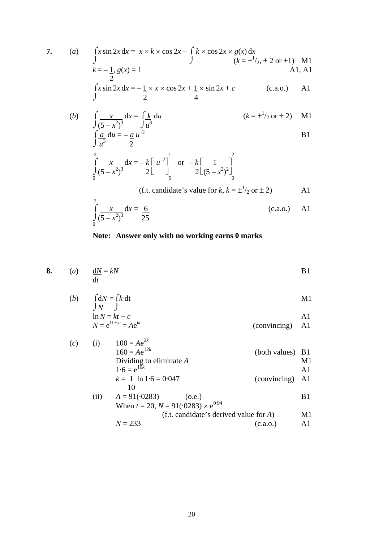7. (a) 
$$
\int x \sin 2x \, dx = x \times k \times \cos 2x - \int k \times \cos 2x \times g(x) \, dx
$$
  
\n $k = -1, g(x) = 1$   
\n
$$
\int x \sin 2x \, dx = -\frac{1}{2} \times x \times \cos 2x + \frac{1}{2} \times \sin 2x + c
$$
\n(c.a.o.) A1

(b) 
$$
\int \frac{x}{(5-x^2)^3} dx = \int \frac{k}{u^3} du
$$
   
 
$$
\int \frac{a}{u^3} du = -\frac{a}{2} u^{-2}
$$
 B1

$$
\int_{0}^{2} \frac{x}{(5-x^2)^3} dx = -\frac{k}{2} \left[ u^{-2} \right]_{5}^{1} \quad \text{or} \quad -\frac{k}{2} \left[ \frac{1}{(5-x^2)^2} \right]_{0}^{2}
$$

(f.t. candidate's value for 
$$
k
$$
,  $k = \pm \frac{1}{2}$  or  $\pm 2$ ) A1

$$
\int_{0}^{2} \frac{x}{(5 - x^2)^3} dx = \frac{6}{25}
$$
 (c.a.o.) A1

## **Note: Answer only with no working earns 0 marks**

8. (a) 
$$
\frac{dN}{dt} = kN
$$
 B1

(b) 
$$
\int_{N} \frac{dN}{J} = \int k dt
$$
 M1

$$
\ln N = kt + c
$$
 A1  
 
$$
N = e^{kt + c} = Ae^{kt}
$$
 A1  
(conving) A1

(c) (i) 
$$
100 = Ae^{2k}
$$
  
\n $160 = Ae^{12k}$  (both values) B1  
\nDividing to eliminate A  
\n $1.6 = e^{10k}$   
\n $k = 1$  ln 1.6 = 0.047  
\n $10$   
\n(ii)  $A = 91(.0283)$  (o.e.)  
\nB1

$$
(n) \tA = 91(\cdot0283)
$$
\t(0.8.)  
When  $t = 20$ ,  $N = 91(\cdot0283) \times e^{0.94}$ 

$$
N = 233
$$
 (f.t. candidate's derived value for A)   
  $N = 233$  (c a o)   
 A1

$$
N = 233
$$
 (c.a.o.) A1